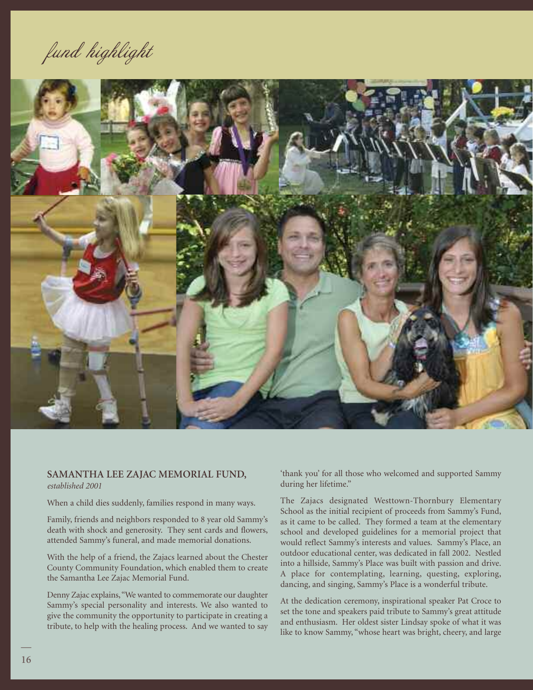fund highlight



## **SAMANTHA LEE ZAJAC MEMORIAL FUND,** *established 2001*

When a child dies suddenly, families respond in many ways.

Family, friends and neighbors responded to 8 year old Sammy's death with shock and generosity. They sent cards and flowers, attended Sammy's funeral, and made memorial donations.

With the help of a friend, the Zajacs learned about the Chester County Community Foundation, which enabled them to create the Samantha Lee Zajac Memorial Fund.

Denny Zajac explains,"We wanted to commemorate our daughter Sammy's special personality and interests. We also wanted to give the community the opportunity to participate in creating a tribute, to help with the healing process. And we wanted to say 'thank you' for all those who welcomed and supported Sammy during her lifetime."

The Zajacs designated Westtown-Thornbury Elementary School as the initial recipient of proceeds from Sammy's Fund, as it came to be called. They formed a team at the elementary school and developed guidelines for a memorial project that would reflect Sammy's interests and values. Sammy's Place, an outdoor educational center, was dedicated in fall 2002. Nestled into a hillside, Sammy's Place was built with passion and drive. A place for contemplating, learning, questing, exploring, dancing, and singing, Sammy's Place is a wonderful tribute.

At the dedication ceremony, inspirational speaker Pat Croce to set the tone and speakers paid tribute to Sammy's great attitude and enthusiasm. Her oldest sister Lindsay spoke of what it was like to know Sammy, "whose heart was bright, cheery, and large